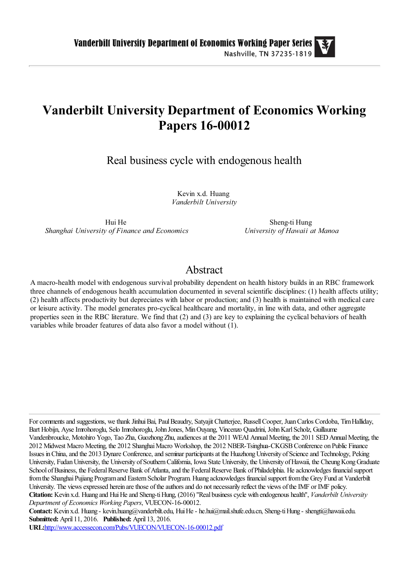# **Vanderbilt University Department of Economics Working Papers 16-00012**

Real business cycle with endogenous health

Kevin x.d. Huang *Vanderbilt University*

Hui He *Shanghai University of Finance and Economics*

Sheng-ti Hung *University of Hawaii at Manoa*

# Abstract

A macro-health model with endogenous survival probability dependent on health history builds in an RBC framework three channels of endogenous health accumulation documented in several scientific disciplines: (1) health affects utility; (2) health affects productivity but depreciates with labor or production; and (3) health is maintained with medical care or leisure activity. The model generates pro-cyclical healthcare and mortality, in line with data, and other aggregate properties seen in the RBC literature. We find that (2) and (3) are key to explaining the cyclical behaviors of health variables while broader features of data also favor a model without (1).

For comments and suggestions, we thank Jinhui Bai, Paul Beaudry, Satyajit Chatterjee, Russell Cooper, Juan Carlos Cordoba, Tim Halliday, Bart Hobijn, Ayse Imrohoroglu, Selo Imrohoroglu, John Jones, Min Ouyang, Vincenzo Quadrini, John Karl Scholz, Guillaume Vandenbroucke, Motohiro Yogo, Tao Zha, Guozhong Zhu, audiences at the 2011 WEAI Annual Meeting, the 2011 SED Annual Meeting, the 2012 Midwest Macro Meeting, the 2012 Shanghai Macro Workshop, the 2012 NBER-Tsinghua-CKGSB Conference on Public Finance Issues in China, and the 2013 Dynare Conference, and seminar participants at the Huazhong University of Science and Technology, Peking University, Fudan University, the University of Southern California, Iowa State University, the University of Hawaii, the Cheung Kong Graduate School of Business, the Federal Reserve Bank of Atlanta, and the Federal Reserve Bank of Philadelphia. He acknowledges financial support from the Shanghai Pujiang Program and Eastern Scholar Program. Huang acknowledges financial support from the Grey Fund at Vanderbilt University. The views expressed herein are those of the authors and do not necessarily reflect the views of the IMF or IMF policy. **Citation:** Kevin x.d. Huang and Hui He and Sheng-ti Hung, (2016) ''Real business cycle with endogenous health'', *Vanderbilt University Department of Economics Working Papers*, VUECON-16-00012.

**Contact:** Kevin x.d. Huang - kevin.huang@vanderbilt.edu, Hui He - he.hui@mail.shufe.edu.cn, Sheng-ti Hung - shengti@hawaii.edu. **Submitted:** April 11, 2016. **Published:** April 13, 2016.

**URL:**<http://www.accessecon.com/Pubs/VUECON/VUECON-16-00012.pdf>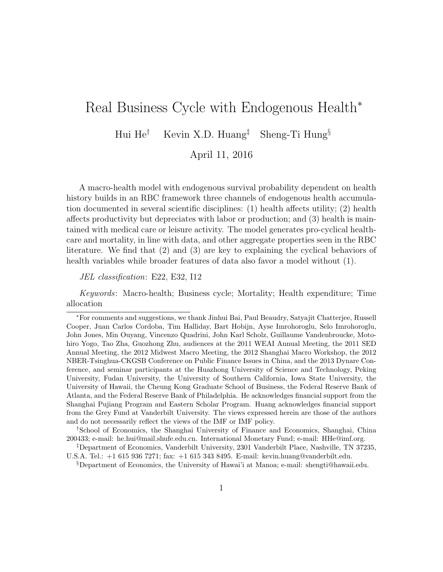# Real Business Cycle with Endogenous Health<sup>\*</sup>

Hui He<sup>†</sup> Kevin X.D. Huang<sup>‡</sup> Sheng-Ti Hung<sup>§</sup>

April 11, 2016

A macro-health model with endogenous survival probability dependent on health history builds in an RBC framework three channels of endogenous health accumulation documented in several scientific disciplines: (1) health affects utility; (2) health affects productivity but depreciates with labor or production; and (3) health is maintained with medical care or leisure activity. The model generates pro-cyclical healthcare and mortality, in line with data, and other aggregate properties seen in the RBC literature. We find that (2) and (3) are key to explaining the cyclical behaviors of health variables while broader features of data also favor a model without (1).

JEL classification: E22, E32, I12

Keywords: Macro-health; Business cycle; Mortality; Health expenditure; Time allocation

†School of Economics, the Shanghai University of Finance and Economics, Shanghai, China 200433; e-mail: he.hui@mail.shufe.edu.cn. International Monetary Fund; e-mail: HHe@imf.org.

§Department of Economics, the University of Hawai'i at Manoa; e-mail: shengti@hawaii.edu.

<sup>∗</sup>For comments and suggestions, we thank Jinhui Bai, Paul Beaudry, Satyajit Chatterjee, Russell Cooper, Juan Carlos Cordoba, Tim Halliday, Bart Hobijn, Ayse Imrohoroglu, Selo Imrohoroglu, John Jones, Min Ouyang, Vincenzo Quadrini, John Karl Scholz, Guillaume Vandenbroucke, Motohiro Yogo, Tao Zha, Guozhong Zhu, audiences at the 2011 WEAI Annual Meeting, the 2011 SED Annual Meeting, the 2012 Midwest Macro Meeting, the 2012 Shanghai Macro Workshop, the 2012 NBER-Tsinghua-CKGSB Conference on Public Finance Issues in China, and the 2013 Dynare Conference, and seminar participants at the Huazhong University of Science and Technology, Peking University, Fudan University, the University of Southern California, Iowa State University, the University of Hawaii, the Cheung Kong Graduate School of Business, the Federal Reserve Bank of Atlanta, and the Federal Reserve Bank of Philadelphia. He acknowledges financial support from the Shanghai Pujiang Program and Eastern Scholar Program. Huang acknowledges financial support from the Grey Fund at Vanderbilt University. The views expressed herein are those of the authors and do not necessarily reflect the views of the IMF or IMF policy.

<sup>‡</sup>Department of Economics, Vanderbilt University, 2301 Vanderbilt Place, Nashville, TN 37235, U.S.A. Tel.: +1 615 936 7271; fax: +1 615 343 8495. E-mail: kevin.huang@vanderbilt.edu.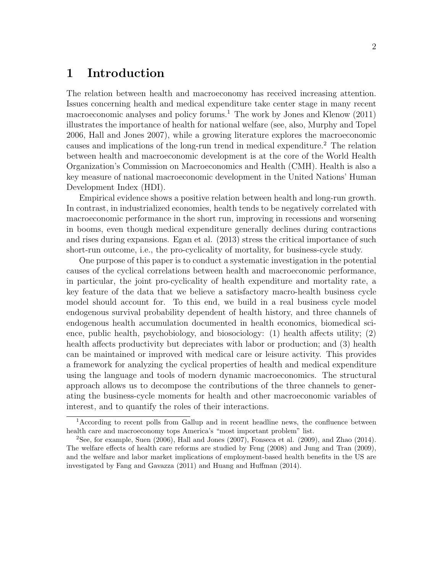# 1 Introduction

The relation between health and macroeconomy has received increasing attention. Issues concerning health and medical expenditure take center stage in many recent macroeconomic analyses and policy forums.<sup>1</sup> The work by Jones and Klenow  $(2011)$ illustrates the importance of health for national welfare (see, also, Murphy and Topel 2006, Hall and Jones 2007), while a growing literature explores the macroeconomic causes and implications of the long-run trend in medical expenditure.<sup>2</sup> The relation between health and macroeconomic development is at the core of the World Health Organization's Commission on Macroeconomics and Health (CMH). Health is also a key measure of national macroeconomic development in the United Nations' Human Development Index (HDI).

Empirical evidence shows a positive relation between health and long-run growth. In contrast, in industrialized economies, health tends to be negatively correlated with macroeconomic performance in the short run, improving in recessions and worsening in booms, even though medical expenditure generally declines during contractions and rises during expansions. Egan et al. (2013) stress the critical importance of such short-run outcome, i.e., the pro-cyclicality of mortality, for business-cycle study.

One purpose of this paper is to conduct a systematic investigation in the potential causes of the cyclical correlations between health and macroeconomic performance, in particular, the joint pro-cyclicality of health expenditure and mortality rate, a key feature of the data that we believe a satisfactory macro-health business cycle model should account for. To this end, we build in a real business cycle model endogenous survival probability dependent of health history, and three channels of endogenous health accumulation documented in health economics, biomedical science, public health, psychobiology, and biosociology: (1) health affects utility; (2) health affects productivity but depreciates with labor or production; and (3) health can be maintained or improved with medical care or leisure activity. This provides a framework for analyzing the cyclical properties of health and medical expenditure using the language and tools of modern dynamic macroeconomics. The structural approach allows us to decompose the contributions of the three channels to generating the business-cycle moments for health and other macroeconomic variables of interest, and to quantify the roles of their interactions.

<sup>&</sup>lt;sup>1</sup>According to recent polls from Gallup and in recent headline news, the confluence between health care and macroeconomy tops America's "most important problem" list.

<sup>&</sup>lt;sup>2</sup>See, for example, Suen  $(2006)$ , Hall and Jones  $(2007)$ , Fonseca et al.  $(2009)$ , and Zhao  $(2014)$ . The welfare effects of health care reforms are studied by Feng (2008) and Jung and Tran (2009), and the welfare and labor market implications of employment-based health benefits in the US are investigated by Fang and Gavazza (2011) and Huang and Huffman (2014).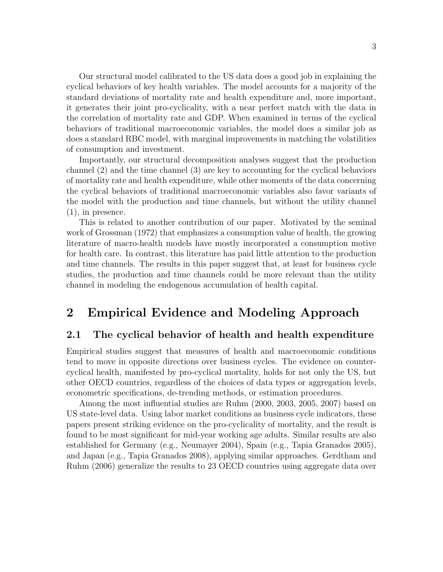Our structural model calibrated to the US data does a good job in explaining the cyclical behaviors of key health variables. The model accounts for a majority of the standard deviations of mortality rate and health expenditure and, more important, it generates their joint pro-cyclicality, with a near perfect match with the data in the correlation of mortality rate and GDP. When examined in terms of the cyclical behaviors of traditional macroeconomic variables, the model does a similar job as does a standard RBC model, with marginal improvements in matching the volatilities of consumption and investment.

Importantly, our structural decomposition analyses suggest that the production channel (2) and the time channel (3) are key to accounting for the cyclical behaviors of mortality rate and health expenditure, while other moments of the data concerning the cyclical behaviors of traditional macroeconomic variables also favor variants of the model with the production and time channels, but without the utility channel  $(1)$ , in presence.

This is related to another contribution of our paper. Motivated by the seminal work of Grossman (1972) that emphasizes a consumption value of health, the growing literature of macro-health models have mostly incorporated a consumption motive for health care. In contrast, this literature has paid little attention to the production and time channels. The results in this paper suggest that, at least for business cycle studies, the production and time channels could be more relevant than the utility channel in modeling the endogenous accumulation of health capital.

# 2 Empirical Evidence and Modeling Approach

#### 2.1 The cyclical behavior of health and health expenditure

Empirical studies suggest that measures of health and macroeconomic conditions tend to move in opposite directions over business cycles. The evidence on countercyclical health, manifested by pro-cyclical mortality, holds for not only the US, but other OECD countries, regardless of the choices of data types or aggregation levels, econometric specifications, de-trending methods, or estimation procedures.

Among the most influential studies are Ruhm (2000, 2003, 2005, 2007) based on US state-level data. Using labor market conditions as business cycle indicators, these papers present striking evidence on the pro-cyclicality of mortality, and the result is found to be most significant for mid-year working age adults. Similar results are also established for Germany (e.g., Neumayer 2004), Spain (e.g., Tapia Granados 2005), and Japan (e.g., Tapia Granados 2008), applying similar approaches. Gerdtham and Ruhm (2006) generalize the results to 23 OECD countries using aggregate data over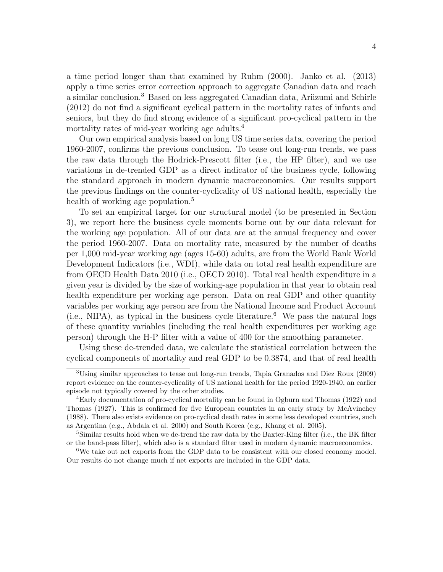a time period longer than that examined by Ruhm (2000). Janko et al. (2013) apply a time series error correction approach to aggregate Canadian data and reach a similar conclusion.<sup>3</sup> Based on less aggregated Canadian data, Ariizumi and Schirle (2012) do not find a significant cyclical pattern in the mortality rates of infants and seniors, but they do find strong evidence of a significant pro-cyclical pattern in the mortality rates of mid-year working age adults.<sup>4</sup>

Our own empirical analysis based on long US time series data, covering the period 1960-2007, confirms the previous conclusion. To tease out long-run trends, we pass the raw data through the Hodrick-Prescott filter (i.e., the HP filter), and we use variations in de-trended GDP as a direct indicator of the business cycle, following the standard approach in modern dynamic macroeconomics. Our results support the previous findings on the counter-cyclicality of US national health, especially the health of working age population.<sup>5</sup>

To set an empirical target for our structural model (to be presented in Section 3), we report here the business cycle moments borne out by our data relevant for the working age population. All of our data are at the annual frequency and cover the period 1960-2007. Data on mortality rate, measured by the number of deaths per 1,000 mid-year working age (ages 15-60) adults, are from the World Bank World Development Indicators (i.e., WDI), while data on total real health expenditure are from OECD Health Data 2010 (i.e., OECD 2010). Total real health expenditure in a given year is divided by the size of working-age population in that year to obtain real health expenditure per working age person. Data on real GDP and other quantity variables per working age person are from the National Income and Product Account  $(i.e., NIPA)$ , as typical in the business cycle literature.<sup>6</sup> We pass the natural logs of these quantity variables (including the real health expenditures per working age person) through the H-P filter with a value of 400 for the smoothing parameter.

Using these de-trended data, we calculate the statistical correlation between the cyclical components of mortality and real GDP to be 0.3874, and that of real health

<sup>3</sup>Using similar approaches to tease out long-run trends, Tapia Granados and Diez Roux (2009) report evidence on the counter-cyclicality of US national health for the period 1920-1940, an earlier episode not typically covered by the other studies.

<sup>4</sup>Early documentation of pro-cyclical mortality can be found in Ogburn and Thomas (1922) and Thomas (1927). This is confirmed for five European countries in an early study by McAvinchey (1988). There also exists evidence on pro-cyclical death rates in some less developed countries, such as Argentina (e.g., Abdala et al. 2000) and South Korea (e.g., Khang et al. 2005).

<sup>5</sup>Similar results hold when we de-trend the raw data by the Baxter-King filter (i.e., the BK filter or the band-pass filter), which also is a standard filter used in modern dynamic macroeconomics.

<sup>6</sup>We take out net exports from the GDP data to be consistent with our closed economy model. Our results do not change much if net exports are included in the GDP data.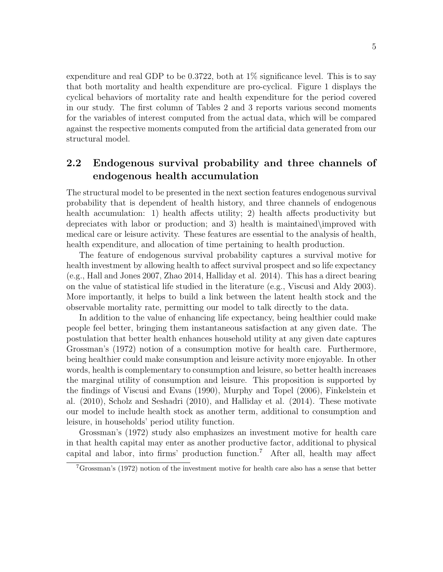expenditure and real GDP to be 0.3722, both at  $1\%$  significance level. This is to say that both mortality and health expenditure are pro-cyclical. Figure 1 displays the cyclical behaviors of mortality rate and health expenditure for the period covered in our study. The first column of Tables 2 and 3 reports various second moments for the variables of interest computed from the actual data, which will be compared against the respective moments computed from the artificial data generated from our structural model.

### 2.2 Endogenous survival probability and three channels of endogenous health accumulation

The structural model to be presented in the next section features endogenous survival probability that is dependent of health history, and three channels of endogenous health accumulation: 1) health affects utility; 2) health affects productivity but depreciates with labor or production; and 3) health is maintained\improved with medical care or leisure activity. These features are essential to the analysis of health, health expenditure, and allocation of time pertaining to health production.

The feature of endogenous survival probability captures a survival motive for health investment by allowing health to affect survival prospect and so life expectancy (e.g., Hall and Jones 2007, Zhao 2014, Halliday et al. 2014). This has a direct bearing on the value of statistical life studied in the literature (e.g., Viscusi and Aldy 2003). More importantly, it helps to build a link between the latent health stock and the observable mortality rate, permitting our model to talk directly to the data.

In addition to the value of enhancing life expectancy, being healthier could make people feel better, bringing them instantaneous satisfaction at any given date. The postulation that better health enhances household utility at any given date captures Grossman's (1972) notion of a consumption motive for health care. Furthermore, being healthier could make consumption and leisure activity more enjoyable. In other words, health is complementary to consumption and leisure, so better health increases the marginal utility of consumption and leisure. This proposition is supported by the findings of Viscusi and Evans (1990), Murphy and Topel (2006), Finkelstein et al. (2010), Scholz and Seshadri (2010), and Halliday et al. (2014). These motivate our model to include health stock as another term, additional to consumption and leisure, in households' period utility function.

Grossman's (1972) study also emphasizes an investment motive for health care in that health capital may enter as another productive factor, additional to physical capital and labor, into firms' production function.<sup>7</sup> After all, health may affect

<sup>7</sup>Grossman's (1972) notion of the investment motive for health care also has a sense that better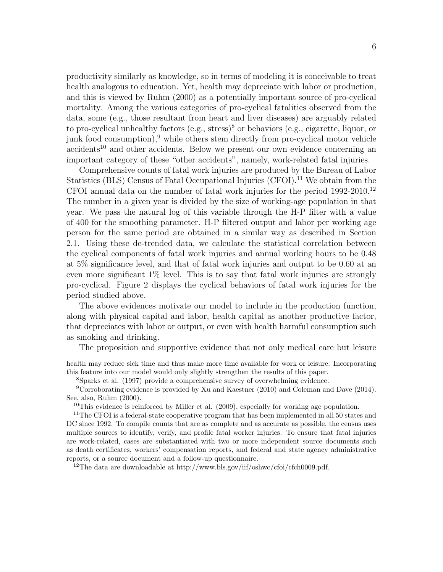productivity similarly as knowledge, so in terms of modeling it is conceivable to treat health analogous to education. Yet, health may depreciate with labor or production, and this is viewed by Ruhm (2000) as a potentially important source of pro-cyclical mortality. Among the various categories of pro-cyclical fatalities observed from the data, some (e.g., those resultant from heart and liver diseases) are arguably related to pro-cyclical unhealthy factors  $(e.g., stress)^8$  or behaviors  $(e.g., cigarette, liquid)$ junk food consumption), $9$  while others stem directly from pro-cyclical motor vehicle accidents<sup>10</sup> and other accidents. Below we present our own evidence concerning an important category of these "other accidents", namely, work-related fatal injuries.

Comprehensive counts of fatal work injuries are produced by the Bureau of Labor Statistics (BLS) Census of Fatal Occupational Injuries (CFOI).<sup>11</sup> We obtain from the CFOI annual data on the number of fatal work injuries for the period 1992-2010.<sup>12</sup> The number in a given year is divided by the size of working-age population in that year. We pass the natural log of this variable through the H-P filter with a value of 400 for the smoothing parameter. H-P filtered output and labor per working age person for the same period are obtained in a similar way as described in Section 2.1. Using these de-trended data, we calculate the statistical correlation between the cyclical components of fatal work injuries and annual working hours to be 0.48 at 5% significance level, and that of fatal work injuries and output to be 0.60 at an even more significant 1% level. This is to say that fatal work injuries are strongly pro-cyclical. Figure 2 displays the cyclical behaviors of fatal work injuries for the period studied above.

The above evidences motivate our model to include in the production function, along with physical capital and labor, health capital as another productive factor, that depreciates with labor or output, or even with health harmful consumption such as smoking and drinking.

The proposition and supportive evidence that not only medical care but leisure

health may reduce sick time and thus make more time available for work or leisure. Incorporating this feature into our model would only slightly strengthen the results of this paper.

<sup>8</sup>Sparks et al. (1997) provide a comprehensive survey of overwhelming evidence.

<sup>9</sup>Corroborating evidence is provided by Xu and Kaestner (2010) and Coleman and Dave (2014). See, also, Ruhm (2000).

<sup>10</sup>This evidence is reinforced by Miller et al.  $(2009)$ , especially for working age population.

<sup>11</sup>The CFOI is a federal-state cooperative program that has been implemented in all 50 states and DC since 1992. To compile counts that are as complete and as accurate as possible, the census uses multiple sources to identify, verify, and profile fatal worker injuries. To ensure that fatal injuries are work-related, cases are substantiated with two or more independent source documents such as death certificates, workers' compensation reports, and federal and state agency administrative reports, or a source document and a follow-up questionnaire.

<sup>12</sup>The data are downloadable at http://www.bls.gov/iif/oshwc/cfoi/cfch0009.pdf.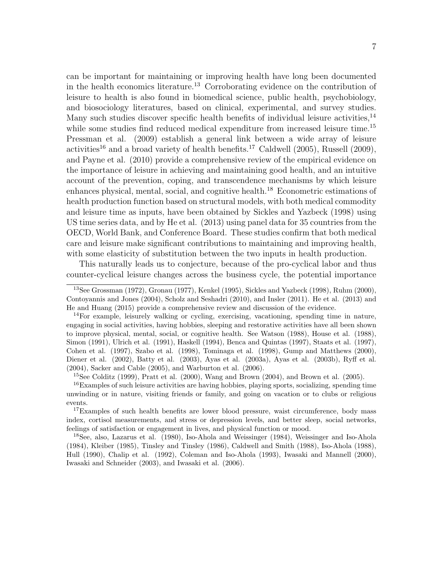can be important for maintaining or improving health have long been documented in the health economics literature.<sup>13</sup> Corroborating evidence on the contribution of leisure to health is also found in biomedical science, public health, psychobiology, and biosociology literatures, based on clinical, experimental, and survey studies. Many such studies discover specific health benefits of individual leisure activities.<sup>14</sup> while some studies find reduced medical expenditure from increased leisure time.<sup>15</sup> Pressman et al. (2009) establish a general link between a wide array of leisure activities<sup>16</sup> and a broad variety of health benefits.<sup>17</sup> Caldwell (2005), Russell (2009), and Payne et al. (2010) provide a comprehensive review of the empirical evidence on the importance of leisure in achieving and maintaining good health, and an intuitive account of the prevention, coping, and transcendence mechanisms by which leisure enhances physical, mental, social, and cognitive health.<sup>18</sup> Econometric estimations of health production function based on structural models, with both medical commodity and leisure time as inputs, have been obtained by Sickles and Yazbeck (1998) using US time series data, and by He et al. (2013) using panel data for 35 countries from the OECD, World Bank, and Conference Board. These studies confirm that both medical care and leisure make significant contributions to maintaining and improving health, with some elasticity of substitution between the two inputs in health production.

This naturally leads us to conjecture, because of the pro-cyclical labor and thus counter-cyclical leisure changes across the business cycle, the potential importance

<sup>15</sup>See Colditz (1999), Pratt et al. (2000), Wang and Brown (2004), and Brown et al. (2005).

<sup>13</sup>See Grossman (1972), Gronau (1977), Kenkel (1995), Sickles and Yazbeck (1998), Ruhm (2000), Contoyannis and Jones (2004), Scholz and Seshadri (2010), and Insler (2011). He et al. (2013) and He and Huang (2015) provide a comprehensive review and discussion of the evidence.

 $14$ For example, leisurely walking or cycling, exercising, vacationing, spending time in nature, engaging in social activities, having hobbies, sleeping and restorative activities have all been shown to improve physical, mental, social, or cognitive health. See Watson (1988), House et al. (1988), Simon (1991), Ulrich et al. (1991), Haskell (1994), Benca and Quintas (1997), Staats et al. (1997), Cohen et al. (1997), Szabo et al. (1998), Tominaga et al. (1998), Gump and Matthews (2000), Diener et al. (2002), Batty et al. (2003), Ayas et al. (2003a), Ayas et al. (2003b), Ryff et al. (2004), Sacker and Cable (2005), and Warburton et al. (2006).

 $16$ Examples of such leisure activities are having hobbies, playing sports, socializing, spending time unwinding or in nature, visiting friends or family, and going on vacation or to clubs or religious events.

<sup>&</sup>lt;sup>17</sup>Examples of such health benefits are lower blood pressure, waist circumference, body mass index, cortisol measurements, and stress or depression levels, and better sleep, social networks, feelings of satisfaction or engagement in lives, and physical function or mood.

<sup>18</sup>See, also, Lazarus et al. (1980), Iso-Ahola and Weissinger (1984), Weissinger and Iso-Ahola (1984), Kleiber (1985), Tinsley and Tinsley (1986), Caldwell and Smith (1988), Iso-Ahola (1988), Hull (1990), Chalip et al. (1992), Coleman and Iso-Ahola (1993), Iwasaki and Mannell (2000), Iwasaki and Schneider (2003), and Iwasaki et al. (2006).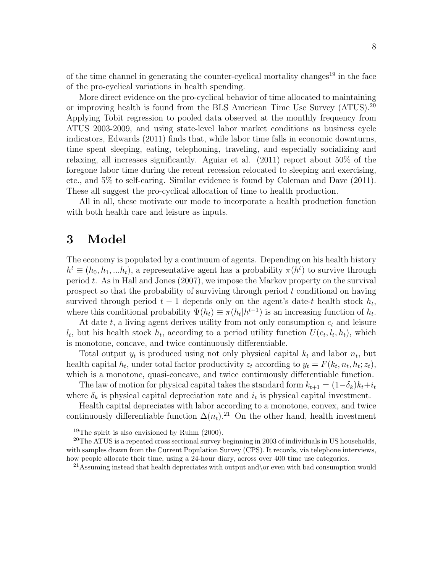of the time channel in generating the counter-cyclical mortality changes<sup>19</sup> in the face of the pro-cyclical variations in health spending.

More direct evidence on the pro-cyclical behavior of time allocated to maintaining or improving health is found from the BLS American Time Use Survey (ATUS).<sup>20</sup> Applying Tobit regression to pooled data observed at the monthly frequency from ATUS 2003-2009, and using state-level labor market conditions as business cycle indicators, Edwards (2011) finds that, while labor time falls in economic downturns, time spent sleeping, eating, telephoning, traveling, and especially socializing and relaxing, all increases significantly. Aguiar et al. (2011) report about 50% of the foregone labor time during the recent recession relocated to sleeping and exercising, etc., and 5% to self-caring. Similar evidence is found by Coleman and Dave (2011). These all suggest the pro-cyclical allocation of time to health production.

All in all, these motivate our mode to incorporate a health production function with both health care and leisure as inputs.

# 3 Model

The economy is populated by a continuum of agents. Depending on his health history  $h^t \equiv (h_0, h_1, ... h_t)$ , a representative agent has a probability  $\pi(h^t)$  to survive through period  $t$ . As in Hall and Jones (2007), we impose the Markov property on the survival prospect so that the probability of surviving through period t conditional on having survived through period  $t-1$  depends only on the agent's date-t health stock  $h_t$ , where this conditional probability  $\Psi(h_t) \equiv \pi(h_t|h^{t-1})$  is an increasing function of  $h_t$ .

At date t, a living agent derives utility from not only consumption  $c_t$  and leisure  $l_t$ , but his health stock  $h_t$ , according to a period utility function  $U(c_t, l_t, h_t)$ , which is monotone, concave, and twice continuously differentiable.

Total output  $y_t$  is produced using not only physical capital  $k_t$  and labor  $n_t$ , but health capital  $h_t$ , under total factor productivity  $z_t$  according to  $y_t = F(k_t, n_t, h_t; z_t)$ , which is a monotone, quasi-concave, and twice continuously differentiable function.

The law of motion for physical capital takes the standard form  $k_{t+1} = (1-\delta_k)k_t+i_t$ where  $\delta_k$  is physical capital depreciation rate and  $i_t$  is physical capital investment.

Health capital depreciates with labor according to a monotone, convex, and twice continuously differentiable function  $\Delta(n_t)$ .<sup>21</sup> On the other hand, health investment

<sup>&</sup>lt;sup>19</sup>The spirit is also envisioned by Ruhm  $(2000)$ .

 $20$ <sup>20</sup>The ATUS is a repeated cross sectional survey beginning in 2003 of individuals in US households, with samples drawn from the Current Population Survey (CPS). It records, via telephone interviews, how people allocate their time, using a 24-hour diary, across over 400 time use categories.

<sup>&</sup>lt;sup>21</sup>Assuming instead that health depreciates with output and  $\or$  even with bad consumption would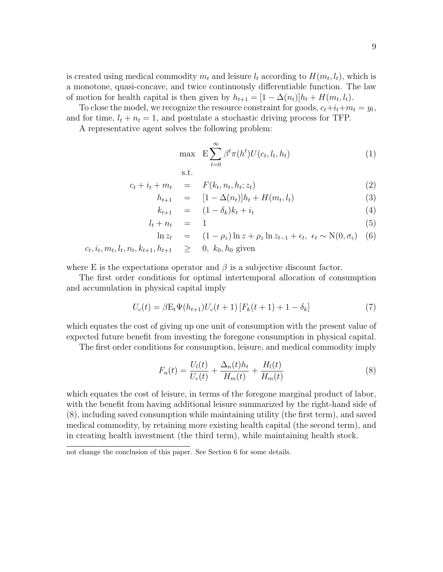is created using medical commodity  $m_t$  and leisure  $l_t$  according to  $H(m_t, l_t)$ , which is a monotone, quasi-concave, and twice continuously differentiable function. The law of motion for health capital is then given by  $h_{t+1} = [1 - \Delta(n_t)]h_t + H(m_t, l_t)$ .

To close the model, we recognize the resource constraint for goods,  $c_t+i_t+m_t = y_t$ , and for time,  $l_t + n_t = 1$ , and postulate a stochastic driving process for TFP.

A representative agent solves the following problem:

$$
\max \quad \mathcal{E} \sum_{t=0}^{\infty} \beta^t \pi(h^t) U(c_t, l_t, h_t) \tag{1}
$$

$$
\text{s.t.} \quad
$$

$$
c_t + i_t + m_t = F(k_t, n_t, h_t; z_t)
$$
\n
$$
(2)
$$

$$
h_{t+1} = [1 - \Delta(n_t)]h_t + H(m_t, l_t)
$$
\n(3)

$$
k_{t+1} = (1 - \delta_k)k_t + i_t \tag{4}
$$

$$
l_t + n_t = 1 \tag{5}
$$

$$
\ln z_t = (1 - \rho_z) \ln z + \rho_z \ln z_{t-1} + \epsilon_t, \ \epsilon_t \sim \mathcal{N}(0, \sigma_{\epsilon}) \quad (6)
$$
  

$$
c_t, i_t, m_t, l_t, n_t, k_{t+1}, h_{t+1} \geq 0, \ k_0, h_0 \text{ given}
$$

where E is the expectations operator and  $\beta$  is a subjective discount factor.

The first order conditions for optimal intertemporal allocation of consumption and accumulation in physical capital imply

$$
U_c(t) = \beta E_t \Psi(h_{t+1}) U_c(t+1) \left[ F_k(t+1) + 1 - \delta_k \right]
$$
 (7)

which equates the cost of giving up one unit of consumption with the present value of expected future benefit from investing the foregone consumption in physical capital.

The first order conditions for consumption, leisure, and medical commodity imply

$$
F_n(t) = \frac{U_l(t)}{U_c(t)} + \frac{\Delta_n(t)h_t}{H_m(t)} + \frac{H_l(t)}{H_m(t)}
$$
\n(8)

which equates the cost of leisure, in terms of the foregone marginal product of labor, with the benefit from having additional leisure summarized by the right-hand side of (8), including saved consumption while maintaining utility (the first term), and saved medical commodity, by retaining more existing health capital (the second term), and in creating health investment (the third term), while maintaining health stock.

not change the conclusion of this paper. See Section 6 for some details.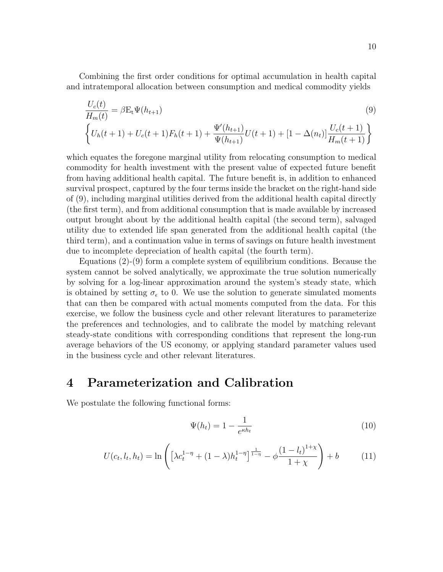Combining the first order conditions for optimal accumulation in health capital and intratemporal allocation between consumption and medical commodity yields

$$
\frac{U_c(t)}{H_m(t)} = \beta E_t \Psi(h_{t+1})
$$
\n
$$
\left\{ U_h(t+1) + U_c(t+1) F_h(t+1) + \frac{\Psi'(h_{t+1})}{\Psi(h_{t+1})} U(t+1) + [1 - \Delta(n_t)] \frac{U_c(t+1)}{H_m(t+1)} \right\}
$$
\n(9)

which equates the foregone marginal utility from relocating consumption to medical commodity for health investment with the present value of expected future benefit from having additional health capital. The future benefit is, in addition to enhanced survival prospect, captured by the four terms inside the bracket on the right-hand side of (9), including marginal utilities derived from the additional health capital directly (the first term), and from additional consumption that is made available by increased output brought about by the additional health capital (the second term), salvaged utility due to extended life span generated from the additional health capital (the third term), and a continuation value in terms of savings on future health investment due to incomplete depreciation of health capital (the fourth term).

Equations (2)-(9) form a complete system of equilibrium conditions. Because the system cannot be solved analytically, we approximate the true solution numerically by solving for a log-linear approximation around the system's steady state, which is obtained by setting  $\sigma_{\epsilon}$  to 0. We use the solution to generate simulated moments that can then be compared with actual moments computed from the data. For this exercise, we follow the business cycle and other relevant literatures to parameterize the preferences and technologies, and to calibrate the model by matching relevant steady-state conditions with corresponding conditions that represent the long-run average behaviors of the US economy, or applying standard parameter values used in the business cycle and other relevant literatures.

# 4 Parameterization and Calibration

We postulate the following functional forms:

$$
\Psi(h_t) = 1 - \frac{1}{e^{\kappa h_t}}\tag{10}
$$

$$
U(c_t, l_t, h_t) = \ln \left( \left[ \lambda c_t^{1-\eta} + (1-\lambda) h_t^{1-\eta} \right]^{\frac{1}{1-\eta}} - \phi \frac{\left(1 - l_t\right)^{1+\chi}}{1+\chi} \right) + b \tag{11}
$$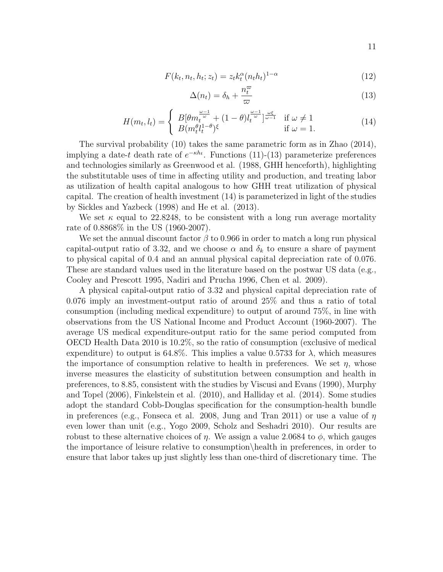$$
F(k_t, n_t, h_t; z_t) = z_t k_t^{\alpha} (n_t h_t)^{1-\alpha}
$$
\n(12)

$$
\Delta(n_t) = \delta_h + \frac{n_t^{\varpi}}{\varpi} \tag{13}
$$

$$
H(m_t, l_t) = \begin{cases} B[\theta m_t^{\frac{\omega - 1}{\omega}} + (1 - \theta) l_t^{\frac{\omega - 1}{\omega}}]^{\frac{\omega \xi}{\omega - 1}} & \text{if } \omega \neq 1\\ B(m_t^{\theta} l_t^{1 - \theta})^{\xi} & \text{if } \omega = 1. \end{cases}
$$
(14)

The survival probability (10) takes the same parametric form as in Zhao (2014), implying a date-t death rate of  $e^{-\kappa h_t}$ . Functions (11)-(13) parameterize preferences and technologies similarly as Greenwood et al. (1988, GHH henceforth), highlighting the substitutable uses of time in affecting utility and production, and treating labor as utilization of health capital analogous to how GHH treat utilization of physical capital. The creation of health investment (14) is parameterized in light of the studies by Sickles and Yazbeck (1998) and He et al. (2013).

We set  $\kappa$  equal to 22.8248, to be consistent with a long run average mortality rate of 0.8868% in the US (1960-2007).

We set the annual discount factor  $\beta$  to 0.966 in order to match a long run physical capital-output ratio of 3.32, and we choose  $\alpha$  and  $\delta_k$  to ensure a share of payment to physical capital of 0.4 and an annual physical capital depreciation rate of 0.076. These are standard values used in the literature based on the postwar US data (e.g., Cooley and Prescott 1995, Nadiri and Prucha 1996, Chen et al. 2009).

A physical capital-output ratio of 3.32 and physical capital depreciation rate of 0.076 imply an investment-output ratio of around 25% and thus a ratio of total consumption (including medical expenditure) to output of around 75%, in line with observations from the US National Income and Product Account (1960-2007). The average US medical expenditure-output ratio for the same period computed from OECD Health Data 2010 is 10.2%, so the ratio of consumption (exclusive of medical expenditure) to output is 64.8%. This implies a value 0.5733 for  $\lambda$ , which measures the importance of consumption relative to health in preferences. We set  $\eta$ , whose inverse measures the elasticity of substitution between consumption and health in preferences, to 8.85, consistent with the studies by Viscusi and Evans (1990), Murphy and Topel (2006), Finkelstein et al. (2010), and Halliday et al. (2014). Some studies adopt the standard Cobb-Douglas specification for the consumption-health bundle in preferences (e.g., Fonseca et al. 2008, Jung and Tran 2011) or use a value of  $\eta$ even lower than unit (e.g., Yogo 2009, Scholz and Seshadri 2010). Our results are robust to these alternative choices of  $\eta$ . We assign a value 2.0684 to  $\phi$ , which gauges the importance of leisure relative to consumption\health in preferences, in order to ensure that labor takes up just slightly less than one-third of discretionary time. The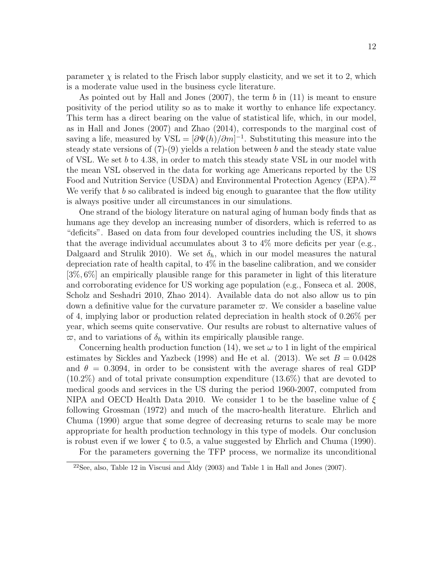parameter  $\chi$  is related to the Frisch labor supply elasticity, and we set it to 2, which is a moderate value used in the business cycle literature.

As pointed out by Hall and Jones  $(2007)$ , the term b in  $(11)$  is meant to ensure positivity of the period utility so as to make it worthy to enhance life expectancy. This term has a direct bearing on the value of statistical life, which, in our model, as in Hall and Jones (2007) and Zhao (2014), corresponds to the marginal cost of saving a life, measured by  $\text{VSL} = [\partial \Psi(h)/\partial m]^{-1}$ . Substituting this measure into the steady state versions of  $(7)-(9)$  yields a relation between b and the steady state value of VSL. We set b to 4.38, in order to match this steady state VSL in our model with the mean VSL observed in the data for working age Americans reported by the US Food and Nutrition Service (USDA) and Environmental Protection Agency (EPA).<sup>22</sup> We verify that  $b$  so calibrated is indeed big enough to guarantee that the flow utility is always positive under all circumstances in our simulations.

One strand of the biology literature on natural aging of human body finds that as humans age they develop an increasing number of disorders, which is referred to as "deficits". Based on data from four developed countries including the US, it shows that the average individual accumulates about 3 to  $4\%$  more deficits per year (e.g., Dalgaard and Strulik 2010). We set  $\delta_h$ , which in our model measures the natural depreciation rate of health capital, to 4% in the baseline calibration, and we consider [3%, 6%] an empirically plausible range for this parameter in light of this literature and corroborating evidence for US working age population (e.g., Fonseca et al. 2008, Scholz and Seshadri 2010, Zhao 2014). Available data do not also allow us to pin down a definitive value for the curvature parameter  $\varpi$ . We consider a baseline value of 4, implying labor or production related depreciation in health stock of 0.26% per year, which seems quite conservative. Our results are robust to alternative values of  $\varpi$ , and to variations of  $\delta_h$  within its empirically plausible range.

Concerning health production function (14), we set  $\omega$  to 1 in light of the empirical estimates by Sickles and Yazbeck (1998) and He et al. (2013). We set  $B = 0.0428$ and  $\theta = 0.3094$ , in order to be consistent with the average shares of real GDP (10.2%) and of total private consumption expenditure (13.6%) that are devoted to medical goods and services in the US during the period 1960-2007, computed from NIPA and OECD Health Data 2010. We consider 1 to be the baseline value of  $\xi$ following Grossman (1972) and much of the macro-health literature. Ehrlich and Chuma (1990) argue that some degree of decreasing returns to scale may be more appropriate for health production technology in this type of models. Our conclusion is robust even if we lower  $\xi$  to 0.5, a value suggested by Ehrlich and Chuma (1990).

For the parameters governing the TFP process, we normalize its unconditional

 $2^2$ See, also, Table 12 in Viscusi and Aldy (2003) and Table 1 in Hall and Jones (2007).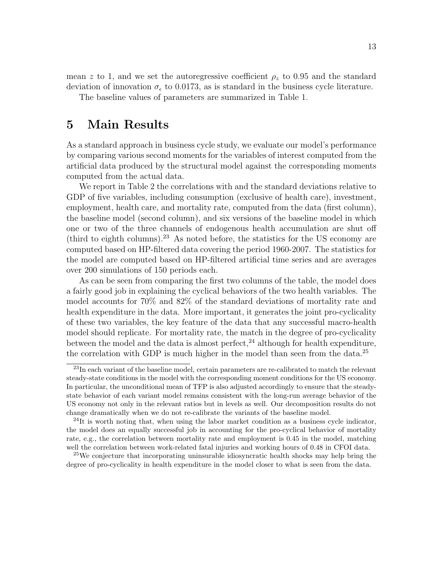mean z to 1, and we set the autoregressive coefficient  $\rho_z$  to 0.95 and the standard deviation of innovation  $\sigma_{\epsilon}$  to 0.0173, as is standard in the business cycle literature.

The baseline values of parameters are summarized in Table 1.

# 5 Main Results

As a standard approach in business cycle study, we evaluate our model's performance by comparing various second moments for the variables of interest computed from the artificial data produced by the structural model against the corresponding moments computed from the actual data.

We report in Table 2 the correlations with and the standard deviations relative to GDP of five variables, including consumption (exclusive of health care), investment, employment, health care, and mortality rate, computed from the data (first column), the baseline model (second column), and six versions of the baseline model in which one or two of the three channels of endogenous health accumulation are shut off (third to eighth columns).<sup>23</sup> As noted before, the statistics for the US economy are computed based on HP-filtered data covering the period 1960-2007. The statistics for the model are computed based on HP-filtered artificial time series and are averages over 200 simulations of 150 periods each.

As can be seen from comparing the first two columns of the table, the model does a fairly good job in explaining the cyclical behaviors of the two health variables. The model accounts for 70% and 82% of the standard deviations of mortality rate and health expenditure in the data. More important, it generates the joint pro-cyclicality of these two variables, the key feature of the data that any successful macro-health model should replicate. For mortality rate, the match in the degree of pro-cyclicality between the model and the data is almost perfect,  $^{24}$  although for health expenditure, the correlation with GDP is much higher in the model than seen from the data.<sup>25</sup>

<sup>&</sup>lt;sup>23</sup>In each variant of the baseline model, certain parameters are re-calibrated to match the relevant steady-state conditions in the model with the corresponding moment conditions for the US economy. In particular, the unconditional mean of TFP is also adjusted accordingly to ensure that the steadystate behavior of each variant model remains consistent with the long-run average behavior of the US economy not only in the relevant ratios but in levels as well. Our decomposition results do not change dramatically when we do not re-calibrate the variants of the baseline model.

 $^{24}$ It is worth noting that, when using the labor market condition as a business cycle indicator, the model does an equally successful job in accounting for the pro-cyclical behavior of mortality rate, e.g., the correlation between mortality rate and employment is 0.45 in the model, matching well the correlation between work-related fatal injuries and working hours of 0.48 in CFOI data.

<sup>&</sup>lt;sup>25</sup>We conjecture that incorporating uninsurable idiosyncratic health shocks may help bring the degree of pro-cyclicality in health expenditure in the model closer to what is seen from the data.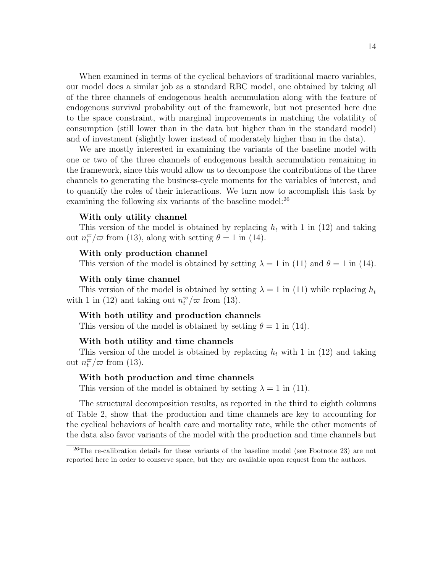When examined in terms of the cyclical behaviors of traditional macro variables, our model does a similar job as a standard RBC model, one obtained by taking all of the three channels of endogenous health accumulation along with the feature of endogenous survival probability out of the framework, but not presented here due to the space constraint, with marginal improvements in matching the volatility of consumption (still lower than in the data but higher than in the standard model) and of investment (slightly lower instead of moderately higher than in the data).

We are mostly interested in examining the variants of the baseline model with one or two of the three channels of endogenous health accumulation remaining in the framework, since this would allow us to decompose the contributions of the three channels to generating the business-cycle moments for the variables of interest, and to quantify the roles of their interactions. We turn now to accomplish this task by examining the following six variants of the baseline model:<sup>26</sup>

#### With only utility channel

This version of the model is obtained by replacing  $h_t$  with 1 in (12) and taking out  $n_t^{\varpi}/\varpi$  from (13), along with setting  $\theta = 1$  in (14).

#### With only production channel

This version of the model is obtained by setting  $\lambda = 1$  in (11) and  $\theta = 1$  in (14).

#### With only time channel

This version of the model is obtained by setting  $\lambda = 1$  in (11) while replacing  $h_t$ with 1 in (12) and taking out  $n_t^{\varpi}/\varpi$  from (13).

#### With both utility and production channels

This version of the model is obtained by setting  $\theta = 1$  in (14).

#### With both utility and time channels

This version of the model is obtained by replacing  $h_t$  with 1 in (12) and taking out  $n_t^{\varpi}/\varpi$  from (13).

#### With both production and time channels

This version of the model is obtained by setting  $\lambda = 1$  in (11).

The structural decomposition results, as reported in the third to eighth columns of Table 2, show that the production and time channels are key to accounting for the cyclical behaviors of health care and mortality rate, while the other moments of the data also favor variants of the model with the production and time channels but

<sup>&</sup>lt;sup>26</sup>The re-calibration details for these variants of the baseline model (see Footnote 23) are not reported here in order to conserve space, but they are available upon request from the authors.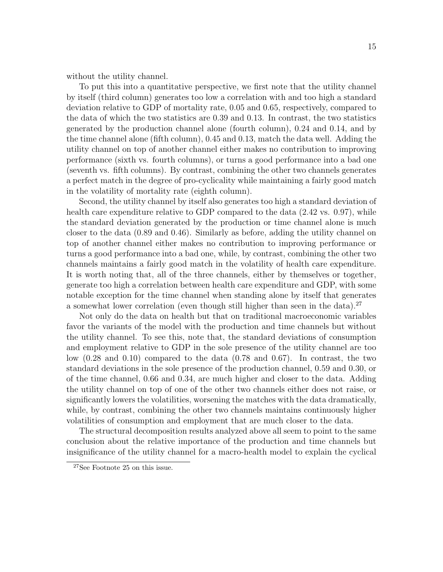without the utility channel.

To put this into a quantitative perspective, we first note that the utility channel by itself (third column) generates too low a correlation with and too high a standard deviation relative to GDP of mortality rate, 0.05 and 0.65, respectively, compared to the data of which the two statistics are 0.39 and 0.13. In contrast, the two statistics generated by the production channel alone (fourth column), 0.24 and 0.14, and by the time channel alone (fifth column), 0.45 and 0.13, match the data well. Adding the utility channel on top of another channel either makes no contribution to improving performance (sixth vs. fourth columns), or turns a good performance into a bad one (seventh vs. fifth columns). By contrast, combining the other two channels generates a perfect match in the degree of pro-cyclicality while maintaining a fairly good match in the volatility of mortality rate (eighth column).

Second, the utility channel by itself also generates too high a standard deviation of health care expenditure relative to GDP compared to the data  $(2.42 \text{ vs. } 0.97)$ , while the standard deviation generated by the production or time channel alone is much closer to the data (0.89 and 0.46). Similarly as before, adding the utility channel on top of another channel either makes no contribution to improving performance or turns a good performance into a bad one, while, by contrast, combining the other two channels maintains a fairly good match in the volatility of health care expenditure. It is worth noting that, all of the three channels, either by themselves or together, generate too high a correlation between health care expenditure and GDP, with some notable exception for the time channel when standing alone by itself that generates a somewhat lower correlation (even though still higher than seen in the data).<sup>27</sup>

Not only do the data on health but that on traditional macroeconomic variables favor the variants of the model with the production and time channels but without the utility channel. To see this, note that, the standard deviations of consumption and employment relative to GDP in the sole presence of the utility channel are too low  $(0.28 \text{ and } 0.10)$  compared to the data  $(0.78 \text{ and } 0.67)$ . In contrast, the two standard deviations in the sole presence of the production channel, 0.59 and 0.30, or of the time channel, 0.66 and 0.34, are much higher and closer to the data. Adding the utility channel on top of one of the other two channels either does not raise, or significantly lowers the volatilities, worsening the matches with the data dramatically, while, by contrast, combining the other two channels maintains continuously higher volatilities of consumption and employment that are much closer to the data.

The structural decomposition results analyzed above all seem to point to the same conclusion about the relative importance of the production and time channels but insignificance of the utility channel for a macro-health model to explain the cyclical

<sup>27</sup>See Footnote 25 on this issue.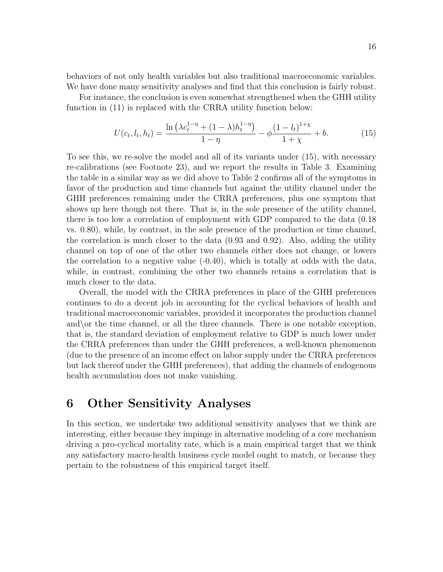behaviors of not only health variables but also traditional macroeconomic variables. We have done many sensitivity analyses and find that this conclusion is fairly robust.

For instance, the conclusion is even somewhat strengthened when the GHH utility function in (11) is replaced with the CRRA utility function below:

$$
U(c_t, l_t, h_t) = \frac{\ln\left(\lambda c_t^{1-\eta} + (1-\lambda)h_t^{1-\eta}\right)}{1-\eta} - \phi \frac{\left(1 - l_t\right)^{1+\chi}}{1+\chi} + b. \tag{15}
$$

To see this, we re-solve the model and all of its variants under (15), with necessary re-calibrations (see Footnote 23), and we report the results in Table 3. Examining the table in a similar way as we did above to Table 2 confirms all of the symptoms in favor of the production and time channels but against the utility channel under the GHH preferences remaining under the CRRA preferences, plus one symptom that shows up here though not there. That is, in the sole presence of the utility channel, there is too low a correlation of employment with GDP compared to the data (0.18 vs. 0.80), while, by contrast, in the sole presence of the production or time channel, the correlation is much closer to the data (0.93 and 0.92). Also, adding the utility channel on top of one of the other two channels either does not change, or lowers the correlation to a negative value (-0.40), which is totally at odds with the data, while, in contrast, combining the other two channels retains a correlation that is much closer to the data.

Overall, the model with the CRRA preferences in place of the GHH preferences continues to do a decent job in accounting for the cyclical behaviors of health and traditional macroeconomic variables, provided it incorporates the production channel and\or the time channel, or all the three channels. There is one notable exception, that is, the standard deviation of employment relative to GDP is much lower under the CRRA preferences than under the GHH preferences, a well-known phenomenon (due to the presence of an income effect on labor supply under the CRRA preferences but lack thereof under the GHH preferences), that adding the channels of endogenous health accumulation does not make vanishing.

# 6 Other Sensitivity Analyses

In this section, we undertake two additional sensitivity analyses that we think are interesting, either because they impinge in alternative modeling of a core mechanism driving a pro-cyclical mortality rate, which is a main empirical target that we think any satisfactory macro-health business cycle model ought to match, or because they pertain to the robustness of this empirical target itself.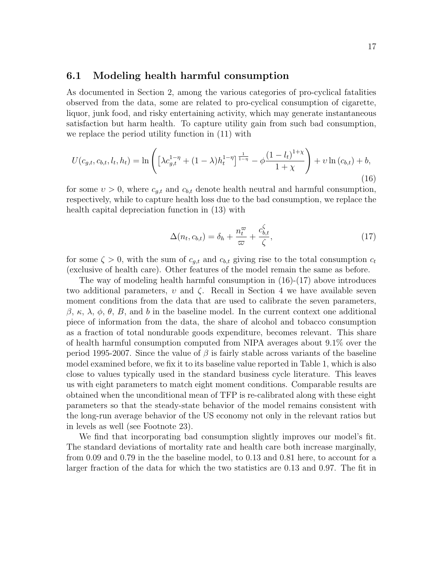#### 6.1 Modeling health harmful consumption

As documented in Section 2, among the various categories of pro-cyclical fatalities observed from the data, some are related to pro-cyclical consumption of cigarette, liquor, junk food, and risky entertaining activity, which may generate instantaneous satisfaction but harm health. To capture utility gain from such bad consumption, we replace the period utility function in (11) with

$$
U(c_{g,t}, c_{b,t}, l_t, h_t) = \ln \left( \left[ \lambda c_{g,t}^{1-\eta} + (1-\lambda) h_t^{1-\eta} \right]^{\frac{1}{1-\eta}} - \phi \frac{\left(1 - l_t\right)^{1+\chi}}{1+\chi} \right) + \upsilon \ln \left( c_{b,t} \right) + b,\tag{16}
$$

for some  $v > 0$ , where  $c_{g,t}$  and  $c_{b,t}$  denote health neutral and harmful consumption, respectively, while to capture health loss due to the bad consumption, we replace the health capital depreciation function in (13) with

$$
\Delta(n_t, c_{b,t}) = \delta_h + \frac{n_t^{\varpi}}{\varpi} + \frac{c_{b,t}^{\zeta}}{\zeta},\tag{17}
$$

for some  $\zeta > 0$ , with the sum of  $c_{q,t}$  and  $c_{b,t}$  giving rise to the total consumption  $c_t$ (exclusive of health care). Other features of the model remain the same as before.

The way of modeling health harmful consumption in  $(16)-(17)$  above introduces two additional parameters,  $v$  and  $\zeta$ . Recall in Section 4 we have available seven moment conditions from the data that are used to calibrate the seven parameters, β, κ, λ, φ, θ, B, and b in the baseline model. In the current context one additional piece of information from the data, the share of alcohol and tobacco consumption as a fraction of total nondurable goods expenditure, becomes relevant. This share of health harmful consumption computed from NIPA averages about 9.1% over the period 1995-2007. Since the value of  $\beta$  is fairly stable across variants of the baseline model examined before, we fix it to its baseline value reported in Table 1, which is also close to values typically used in the standard business cycle literature. This leaves us with eight parameters to match eight moment conditions. Comparable results are obtained when the unconditional mean of TFP is re-calibrated along with these eight parameters so that the steady-state behavior of the model remains consistent with the long-run average behavior of the US economy not only in the relevant ratios but in levels as well (see Footnote 23).

We find that incorporating bad consumption slightly improves our model's fit. The standard deviations of mortality rate and health care both increase marginally, from 0.09 and 0.79 in the the baseline model, to 0.13 and 0.81 here, to account for a larger fraction of the data for which the two statistics are 0.13 and 0.97. The fit in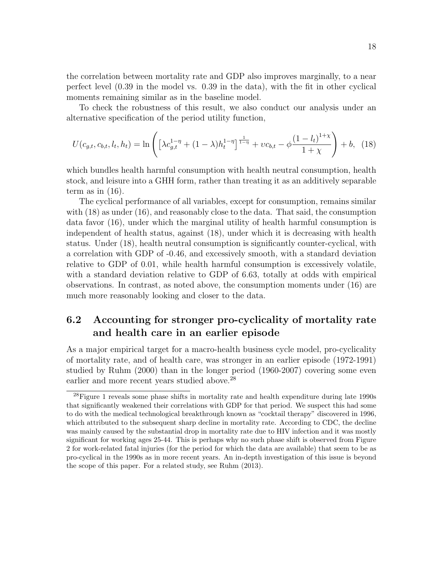the correlation between mortality rate and GDP also improves marginally, to a near perfect level (0.39 in the model vs. 0.39 in the data), with the fit in other cyclical moments remaining similar as in the baseline model.

To check the robustness of this result, we also conduct our analysis under an alternative specification of the period utility function,

$$
U(c_{g,t}, c_{b,t}, l_t, h_t) = \ln \left( \left[ \lambda c_{g,t}^{1-\eta} + (1-\lambda) h_t^{1-\eta} \right]^{\frac{1}{1-\eta}} + v c_{b,t} - \phi \frac{\left(1 - l_t\right)^{1+\chi}}{1+\chi} \right) + b, \tag{18}
$$

which bundles health harmful consumption with health neutral consumption, health stock, and leisure into a GHH form, rather than treating it as an additively separable term as in  $(16)$ .

The cyclical performance of all variables, except for consumption, remains similar with (18) as under (16), and reasonably close to the data. That said, the consumption data favor (16), under which the marginal utility of health harmful consumption is independent of health status, against (18), under which it is decreasing with health status. Under (18), health neutral consumption is significantly counter-cyclical, with a correlation with GDP of -0.46, and excessively smooth, with a standard deviation relative to GDP of 0.01, while health harmful consumption is excessively volatile, with a standard deviation relative to GDP of 6.63, totally at odds with empirical observations. In contrast, as noted above, the consumption moments under (16) are much more reasonably looking and closer to the data.

### 6.2 Accounting for stronger pro-cyclicality of mortality rate and health care in an earlier episode

As a major empirical target for a macro-health business cycle model, pro-cyclicality of mortality rate, and of health care, was stronger in an earlier episode (1972-1991) studied by Ruhm (2000) than in the longer period (1960-2007) covering some even earlier and more recent years studied above.<sup>28</sup>

<sup>&</sup>lt;sup>28</sup>Figure 1 reveals some phase shifts in mortality rate and health expenditure during late 1990s that significantly weakened their correlations with GDP for that period. We suspect this had some to do with the medical technological breakthrough known as "cocktail therapy" discovered in 1996, which attributed to the subsequent sharp decline in mortality rate. According to CDC, the decline was mainly caused by the substantial drop in mortality rate due to HIV infection and it was mostly significant for working ages 25-44. This is perhaps why no such phase shift is observed from Figure 2 for work-related fatal injuries (for the period for which the data are available) that seem to be as pro-cyclical in the 1990s as in more recent years. An in-depth investigation of this issue is beyond the scope of this paper. For a related study, see Ruhm (2013).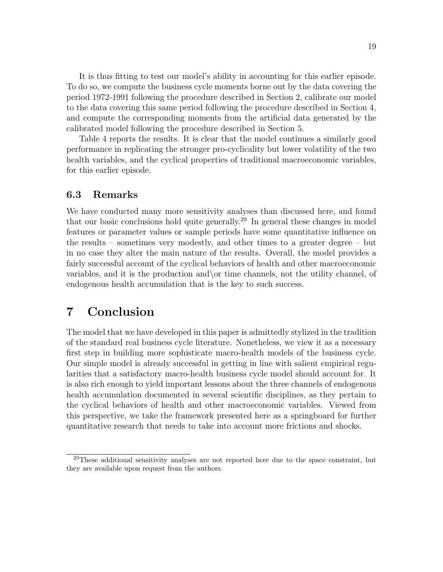It is thus fitting to test our model's ability in accounting for this earlier episode. To do so, we compute the business cycle moments borne out by the data covering the period 1972-1991 following the procedure described in Section 2, calibrate our model to the data covering this same period following the procedure described in Section 4, and compute the corresponding moments from the artificial data generated by the calibrated model following the procedure described in Section 5.

Table 4 reports the results. It is clear that the model continues a similarly good performance in replicating the stronger pro-cyclicality but lower volatility of the two health variables, and the cyclical properties of traditional macroeconomic variables, for this earlier episode.

#### 6.3 Remarks

We have conducted many more sensitivity analyses than discussed here, and found that our basic conclusions hold quite generally.<sup>29</sup> In general these changes in model features or parameter values or sample periods have some quantitative influence on the results – sometimes very modestly, and other times to a greater degree – but in no case they alter the main nature of the results. Overall, the model provides a fairly successful account of the cyclical behaviors of health and other macroeconomic variables, and it is the production and\or time channels, not the utility channel, of endogenous health accumulation that is the key to such success.

# 7 Conclusion

The model that we have developed in this paper is admittedly stylized in the tradition of the standard real business cycle literature. Nonetheless, we view it as a necessary first step in building more sophisticate macro-health models of the business cycle. Our simple model is already successful in getting in line with salient empirical regularities that a satisfactory macro-health business cycle model should account for. It is also rich enough to yield important lessons about the three channels of endogenous health accumulation documented in several scientific disciplines, as they pertain to the cyclical behaviors of health and other macroeconomic variables. Viewed from this perspective, we take the framework presented here as a springboard for further quantitative research that needs to take into account more frictions and shocks.

 $^{29}$ These additional sensitivity analyses are not reported here due to the space constraint, but they are available upon request from the authors.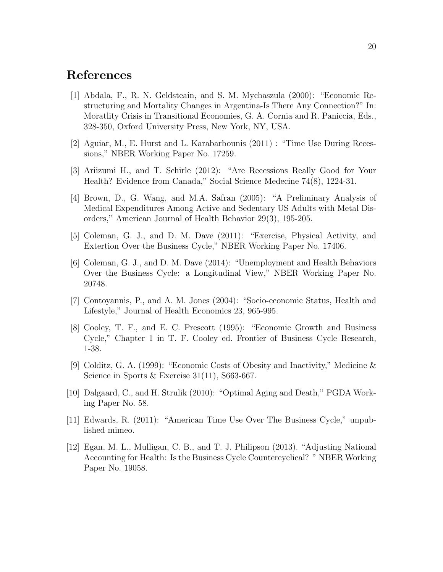## References

- [1] Abdala, F., R. N. Geldsteain, and S. M. Mychaszula (2000): "Economic Restructuring and Mortality Changes in Argentina-Is There Any Connection?" In: Moratlity Crisis in Transitional Economies, G. A. Cornia and R. Paniccia, Eds., 328-350, Oxford University Press, New York, NY, USA.
- [2] Aguiar, M., E. Hurst and L. Karabarbounis (2011) : "Time Use During Recessions," NBER Working Paper No. 17259.
- [3] Ariizumi H., and T. Schirle (2012): "Are Recessions Really Good for Your Health? Evidence from Canada," Social Science Medecine 74(8), 1224-31.
- [4] Brown, D., G. Wang, and M.A. Safran (2005): "A Preliminary Analysis of Medical Expenditures Among Active and Sedentary US Adults with Metal Disorders," American Journal of Health Behavior 29(3), 195-205.
- [5] Coleman, G. J., and D. M. Dave (2011): "Exercise, Physical Activity, and Extertion Over the Business Cycle," NBER Working Paper No. 17406.
- [6] Coleman, G. J., and D. M. Dave (2014): "Unemployment and Health Behaviors Over the Business Cycle: a Longitudinal View," NBER Working Paper No. 20748.
- [7] Contoyannis, P., and A. M. Jones (2004): "Socio-economic Status, Health and Lifestyle," Journal of Health Economics 23, 965-995.
- [8] Cooley, T. F., and E. C. Prescott (1995): "Economic Growth and Business Cycle," Chapter 1 in T. F. Cooley ed. Frontier of Business Cycle Research, 1-38.
- [9] Colditz, G. A. (1999): "Economic Costs of Obesity and Inactivity," Medicine & Science in Sports & Exercise  $31(11)$ , S663-667.
- [10] Dalgaard, C., and H. Strulik (2010): "Optimal Aging and Death," PGDA Working Paper No. 58.
- [11] Edwards, R. (2011): "American Time Use Over The Business Cycle," unpublished mimeo.
- [12] Egan, M. L., Mulligan, C. B., and T. J. Philipson (2013). "Adjusting National Accounting for Health: Is the Business Cycle Countercyclical? " NBER Working Paper No. 19058.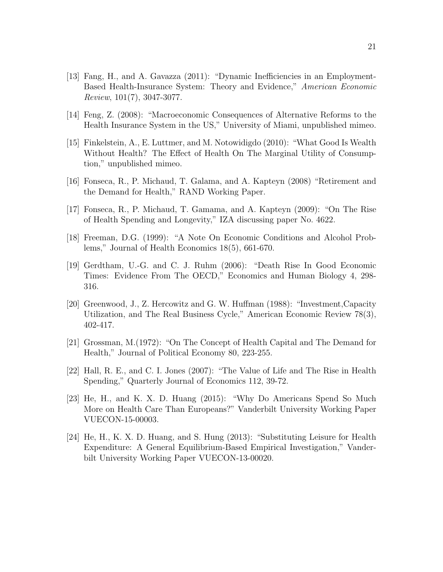- [13] Fang, H., and A. Gavazza (2011): "Dynamic Inefficiencies in an Employment-Based Health-Insurance System: Theory and Evidence," American Economic Review, 101(7), 3047-3077.
- [14] Feng, Z. (2008): "Macroeconomic Consequences of Alternative Reforms to the Health Insurance System in the US," University of Miami, unpublished mimeo.
- [15] Finkelstein, A., E. Luttmer, and M. Notowidigdo (2010): "What Good Is Wealth Without Health? The Effect of Health On The Marginal Utility of Consumption," unpublished mimeo.
- [16] Fonseca, R., P. Michaud, T. Galama, and A. Kapteyn (2008) "Retirement and the Demand for Health," RAND Working Paper.
- [17] Fonseca, R., P. Michaud, T. Gamama, and A. Kapteyn (2009): "On The Rise of Health Spending and Longevity," IZA discussing paper No. 4622.
- [18] Freeman, D.G. (1999): "A Note On Economic Conditions and Alcohol Problems," Journal of Health Economics 18(5), 661-670.
- [19] Gerdtham, U.-G. and C. J. Ruhm (2006): "Death Rise In Good Economic Times: Evidence From The OECD," Economics and Human Biology 4, 298- 316.
- [20] Greenwood, J., Z. Hercowitz and G. W. Huffman (1988): "Investment,Capacity Utilization, and The Real Business Cycle," American Economic Review 78(3), 402-417.
- [21] Grossman, M.(1972): "On The Concept of Health Capital and The Demand for Health," Journal of Political Economy 80, 223-255.
- [22] Hall, R. E., and C. I. Jones (2007): "The Value of Life and The Rise in Health Spending," Quarterly Journal of Economics 112, 39-72.
- [23] He, H., and K. X. D. Huang (2015): "Why Do Americans Spend So Much More on Health Care Than Europeans?" Vanderbilt University Working Paper VUECON-15-00003.
- [24] He, H., K. X. D. Huang, and S. Hung (2013): "Substituting Leisure for Health Expenditure: A General Equilibrium-Based Empirical Investigation," Vanderbilt University Working Paper VUECON-13-00020.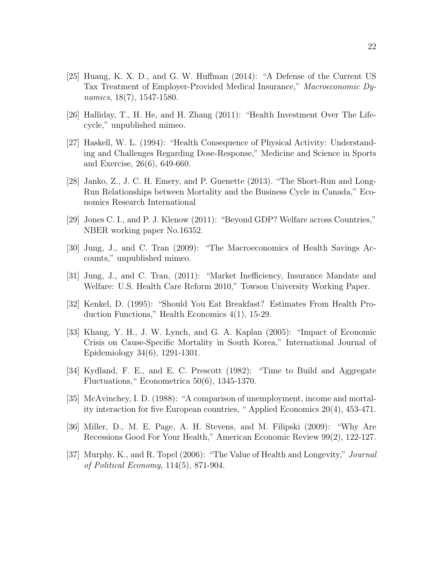- [25] Huang, K. X. D., and G. W. Huffman (2014): "A Defense of the Current US Tax Treatment of Employer-Provided Medical Insurance," Macroeconomic Dynamics, 18(7), 1547-1580.
- [26] Halliday, T., H. He, and H. Zhang (2011): "Health Investment Over The Lifecycle," unpublished mimeo.
- [27] Haskell, W. L. (1994): "Health Consequence of Physical Activity: Understanding and Challenges Regarding Dose-Response," Medicine and Science in Sports and Exercise, 26(6), 649-660.
- [28] Janko, Z., J. C. H. Emery, and P. Guenette (2013). "The Short-Run and Long-Run Relationships between Mortality and the Business Cycle in Canada," Economics Research International
- [29] Jones C. I., and P. J. Klenow (2011): "Beyond GDP? Welfare across Countries," NBER working paper No.16352.
- [30] Jung, J., and C. Tran (2009): "The Macroeconomics of Health Savings Accounts," unpublished mimeo.
- [31] Jung, J., and C. Tran, (2011): "Market Inefficiency, Insurance Mandate and Welfare: U.S. Health Care Reform 2010," Towson University Working Paper.
- [32] Kenkel, D. (1995): "Should You Eat Breakfast? Estimates From Health Production Functions," Health Economics 4(1), 15-29.
- [33] Khang, Y. H., J. W. Lynch, and G. A. Kaplan (2005): "Impact of Economic Crisis on Cause-Specific Mortality in South Korea," International Journal of Epidemiology 34(6), 1291-1301.
- [34] Kydland, F. E., and E. C. Prescott (1982): "Time to Build and Aggregate Fluctuations," Econometrica 50(6), 1345-1370.
- [35] McAvinchey, I. D. (1988): "A comparison of unemployment, income and mortality interaction for five European countries, " Applied Economics 20(4), 453-471.
- [36] Miller, D., M. E. Page, A. H. Stevens, and M. Filipski (2009): "Why Are Recessions Good For Your Health," American Economic Review 99(2), 122-127.
- [37] Murphy, K., and R. Topel (2006): "The Value of Health and Longevity," Journal of Political Economy, 114(5), 871-904.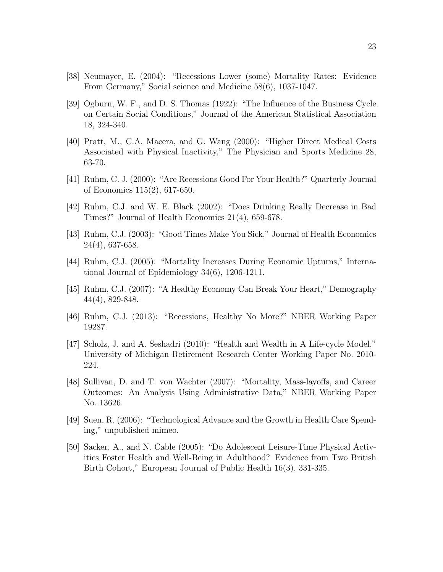- [38] Neumayer, E. (2004): "Recessions Lower (some) Mortality Rates: Evidence From Germany," Social science and Medicine 58(6), 1037-1047.
- [39] Ogburn, W. F., and D. S. Thomas (1922): "The Influence of the Business Cycle on Certain Social Conditions," Journal of the American Statistical Association 18, 324-340.
- [40] Pratt, M., C.A. Macera, and G. Wang (2000): "Higher Direct Medical Costs Associated with Physical Inactivity," The Physician and Sports Medicine 28, 63-70.
- [41] Ruhm, C. J. (2000): "Are Recessions Good For Your Health?" Quarterly Journal of Economics 115(2), 617-650.
- [42] Ruhm, C.J. and W. E. Black (2002): "Does Drinking Really Decrease in Bad Times?" Journal of Health Economics 21(4), 659-678.
- [43] Ruhm, C.J. (2003): "Good Times Make You Sick," Journal of Health Economics 24(4), 637-658.
- [44] Ruhm, C.J. (2005): "Mortality Increases During Economic Upturns," International Journal of Epidemiology 34(6), 1206-1211.
- [45] Ruhm, C.J. (2007): "A Healthy Economy Can Break Your Heart," Demography 44(4), 829-848.
- [46] Ruhm, C.J. (2013): "Recessions, Healthy No More?" NBER Working Paper 19287.
- [47] Scholz, J. and A. Seshadri (2010): "Health and Wealth in A Life-cycle Model," University of Michigan Retirement Research Center Working Paper No. 2010- 224.
- [48] Sullivan, D. and T. von Wachter (2007): "Mortality, Mass-layoffs, and Career Outcomes: An Analysis Using Administrative Data," NBER Working Paper No. 13626.
- [49] Suen, R. (2006): "Technological Advance and the Growth in Health Care Spending," unpublished mimeo.
- [50] Sacker, A., and N. Cable (2005): "Do Adolescent Leisure-Time Physical Activities Foster Health and Well-Being in Adulthood? Evidence from Two British Birth Cohort," European Journal of Public Health 16(3), 331-335.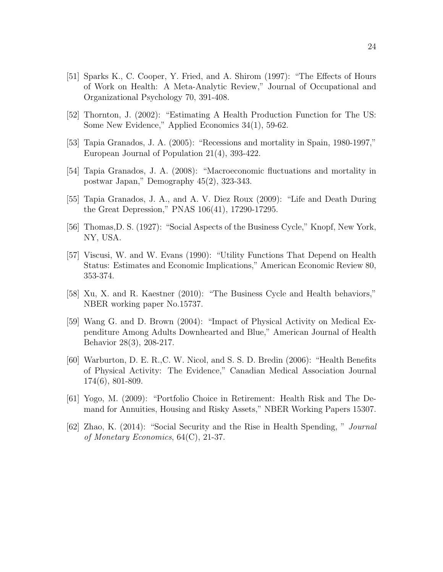- [51] Sparks K., C. Cooper, Y. Fried, and A. Shirom (1997): "The Effects of Hours of Work on Health: A Meta-Analytic Review," Journal of Occupational and Organizational Psychology 70, 391-408.
- [52] Thornton, J. (2002): "Estimating A Health Production Function for The US: Some New Evidence," Applied Economics 34(1), 59-62.
- [53] Tapia Granados, J. A. (2005): "Recessions and mortality in Spain, 1980-1997," European Journal of Population 21(4), 393-422.
- [54] Tapia Granados, J. A. (2008): "Macroeconomic fluctuations and mortality in postwar Japan," Demography 45(2), 323-343.
- [55] Tapia Granados, J. A., and A. V. Diez Roux (2009): "Life and Death During the Great Depression," PNAS 106(41), 17290-17295.
- [56] Thomas,D. S. (1927): "Social Aspects of the Business Cycle," Knopf, New York, NY, USA.
- [57] Viscusi, W. and W. Evans (1990): "Utility Functions That Depend on Health Status: Estimates and Economic Implications," American Economic Review 80, 353-374.
- [58] Xu, X. and R. Kaestner (2010): "The Business Cycle and Health behaviors," NBER working paper No.15737.
- [59] Wang G. and D. Brown (2004): "Impact of Physical Activity on Medical Expenditure Among Adults Downhearted and Blue," American Journal of Health Behavior 28(3), 208-217.
- [60] Warburton, D. E. R.,C. W. Nicol, and S. S. D. Bredin (2006): "Health Benefits of Physical Activity: The Evidence," Canadian Medical Association Journal 174(6), 801-809.
- [61] Yogo, M. (2009): "Portfolio Choice in Retirement: Health Risk and The Demand for Annuities, Housing and Risky Assets," NBER Working Papers 15307.
- [62] Zhao, K. (2014): "Social Security and the Rise in Health Spending, " Journal of Monetary Economics, 64(C), 21-37.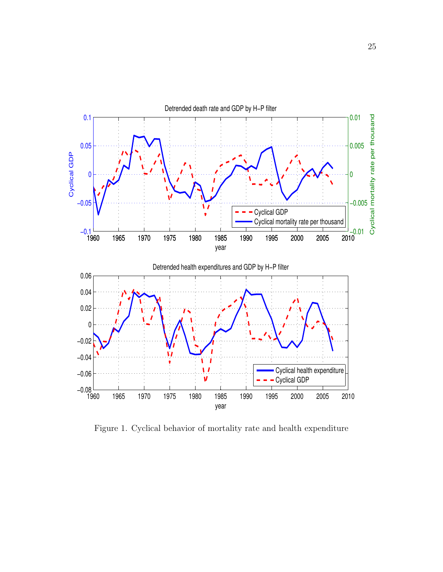

Figure 1. Cyclical behavior of mortality rate and health expenditure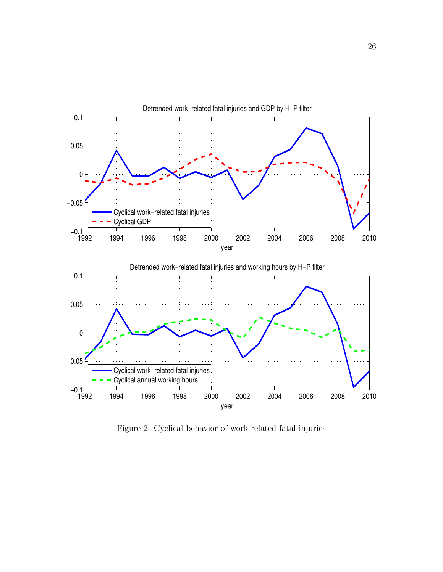

Figure 2. Cyclical behavior of work-related fatal injuries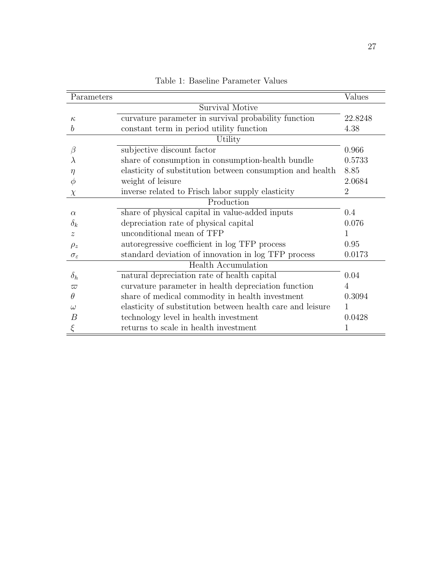| Parameters             |                                                            | Values  |  |  |  |  |
|------------------------|------------------------------------------------------------|---------|--|--|--|--|
|                        | Survival Motive                                            |         |  |  |  |  |
| $\kappa$               | curvature parameter in survival probability function       | 22.8248 |  |  |  |  |
| $\boldsymbol{b}$       | constant term in period utility function                   | 4.38    |  |  |  |  |
|                        | Utility                                                    |         |  |  |  |  |
| $\beta$                | subjective discount factor                                 | 0.966   |  |  |  |  |
| $\lambda$              | share of consumption in consumption-health bundle          | 0.5733  |  |  |  |  |
| η                      | elasticity of substitution between consumption and health  | 8.85    |  |  |  |  |
| $\phi$                 | weight of leisure                                          | 2.0684  |  |  |  |  |
| $\chi$                 | inverse related to Frisch labor supply elasticity          | 2       |  |  |  |  |
| Production             |                                                            |         |  |  |  |  |
| $\alpha$               | share of physical capital in value-added inputs            | 0.4     |  |  |  |  |
| $\delta_k$             | depreciation rate of physical capital                      | 0.076   |  |  |  |  |
| $\mathcal{Z}$          | unconditional mean of TFP                                  |         |  |  |  |  |
| $\rho_z$               | autoregressive coefficient in log TFP process              | 0.95    |  |  |  |  |
| $\sigma_{\varepsilon}$ | standard deviation of innovation in log TFP process        | 0.0173  |  |  |  |  |
|                        | <b>Health Accumulation</b>                                 |         |  |  |  |  |
| $\delta_h$             | natural depreciation rate of health capital                | 0.04    |  |  |  |  |
| $\varpi$               | curvature parameter in health depreciation function        | 4       |  |  |  |  |
| $\theta$               | share of medical commodity in health investment            | 0.3094  |  |  |  |  |
| $\omega$               | elasticity of substitution between health care and leisure |         |  |  |  |  |
| B                      | technology level in health investment                      | 0.0428  |  |  |  |  |
|                        | returns to scale in health investment                      |         |  |  |  |  |

Table 1: Baseline Parameter Values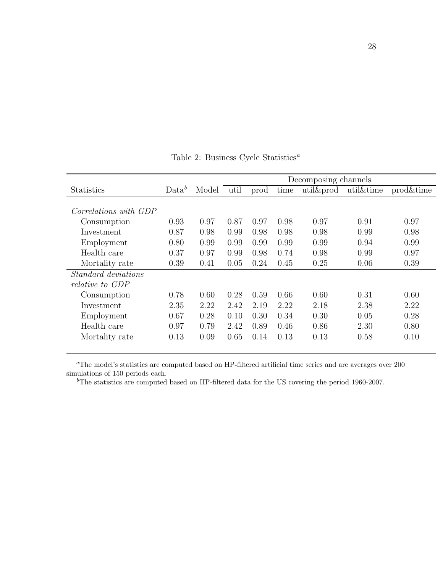|                            |          |       | Decomposing channels |      |      |       |           |           |
|----------------------------|----------|-------|----------------------|------|------|-------|-----------|-----------|
| <b>Statistics</b>          | $Data^b$ | Model | util                 | prod | time | util∏ | util&time | prod&time |
|                            |          |       |                      |      |      |       |           |           |
| Correlations with GDP      |          |       |                      |      |      |       |           |           |
| Consumption                | 0.93     | 0.97  | 0.87                 | 0.97 | 0.98 | 0.97  | 0.91      | 0.97      |
| Investment                 | 0.87     | 0.98  | 0.99                 | 0.98 | 0.98 | 0.98  | 0.99      | 0.98      |
| Employment                 | 0.80     | 0.99  | 0.99                 | 0.99 | 0.99 | 0.99  | 0.94      | 0.99      |
| Health care                | 0.37     | 0.97  | 0.99                 | 0.98 | 0.74 | 0.98  | 0.99      | 0.97      |
| Mortality rate             | 0.39     | 0.41  | 0.05                 | 0.24 | 0.45 | 0.25  | 0.06      | 0.39      |
| <i>Standard deviations</i> |          |       |                      |      |      |       |           |           |
| relative to GDP            |          |       |                      |      |      |       |           |           |
| Consumption                | 0.78     | 0.60  | 0.28                 | 0.59 | 0.66 | 0.60  | 0.31      | 0.60      |
| Investment                 | 2.35     | 2.22  | 2.42                 | 2.19 | 2.22 | 2.18  | 2.38      | 2.22      |
| Employment                 | 0.67     | 0.28  | 0.10                 | 0.30 | 0.34 | 0.30  | 0.05      | 0.28      |
| Health care                | 0.97     | 0.79  | 2.42                 | 0.89 | 0.46 | 0.86  | 2.30      | 0.80      |
| Mortality rate             | 0.13     | 0.09  | 0.65                 | 0.14 | 0.13 | 0.13  | 0.58      | 0.10      |

Table 2: Business Cycle $\operatorname{Statistics}^a$ 

 ${}^a$ The model's statistics are computed based on HP-filtered artificial time series and are averages over  $200$ simulations of 150 periods each.

 $b$ <sup>b</sup>The statistics are computed based on HP-filtered data for the US covering the period 1960-2007.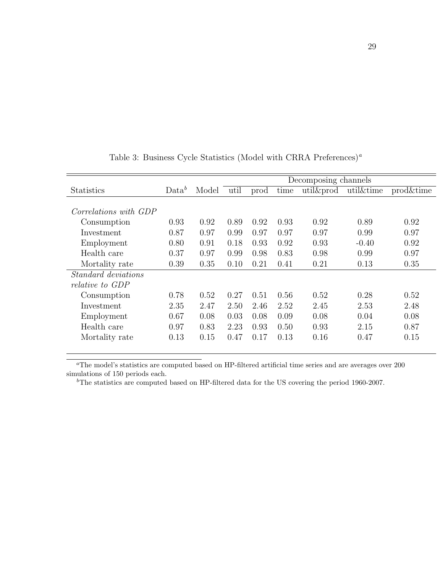|                            |          |       | Decomposing channels |      |      |       |           |           |
|----------------------------|----------|-------|----------------------|------|------|-------|-----------|-----------|
| <b>Statistics</b>          | $Data^b$ | Model | util                 | prod | time | util∏ | util&time | prod&time |
|                            |          |       |                      |      |      |       |           |           |
| Correlations with GDP      |          |       |                      |      |      |       |           |           |
| Consumption                | 0.93     | 0.92  | 0.89                 | 0.92 | 0.93 | 0.92  | 0.89      | 0.92      |
| Investment                 | 0.87     | 0.97  | 0.99                 | 0.97 | 0.97 | 0.97  | 0.99      | 0.97      |
| Employment                 | 0.80     | 0.91  | 0.18                 | 0.93 | 0.92 | 0.93  | $-0.40$   | 0.92      |
| Health care                | 0.37     | 0.97  | 0.99                 | 0.98 | 0.83 | 0.98  | 0.99      | 0.97      |
| Mortality rate             | 0.39     | 0.35  | 0.10                 | 0.21 | 0.41 | 0.21  | 0.13      | 0.35      |
| <i>Standard deviations</i> |          |       |                      |      |      |       |           |           |
| relative to GDP            |          |       |                      |      |      |       |           |           |
| Consumption                | 0.78     | 0.52  | 0.27                 | 0.51 | 0.56 | 0.52  | 0.28      | 0.52      |
| Investment                 | 2.35     | 2.47  | 2.50                 | 2.46 | 2.52 | 2.45  | 2.53      | 2.48      |
| Employment                 | 0.67     | 0.08  | 0.03                 | 0.08 | 0.09 | 0.08  | 0.04      | 0.08      |
| Health care                | 0.97     | 0.83  | 2.23                 | 0.93 | 0.50 | 0.93  | 2.15      | 0.87      |
| Mortality rate             | 0.13     | 0.15  | 0.47                 | 0.17 | 0.13 | 0.16  | 0.47      | 0.15      |
|                            |          |       |                      |      |      |       |           |           |

Table 3: Business Cycle Statistics (Model with CRRA Preferences)<sup>a</sup>

<sup>a</sup>The model's statistics are computed based on HP-filtered artificial time series and are averages over 200 simulations of 150 periods each.

 $b$ <sup>b</sup>The statistics are computed based on HP-filtered data for the US covering the period 1960-2007.